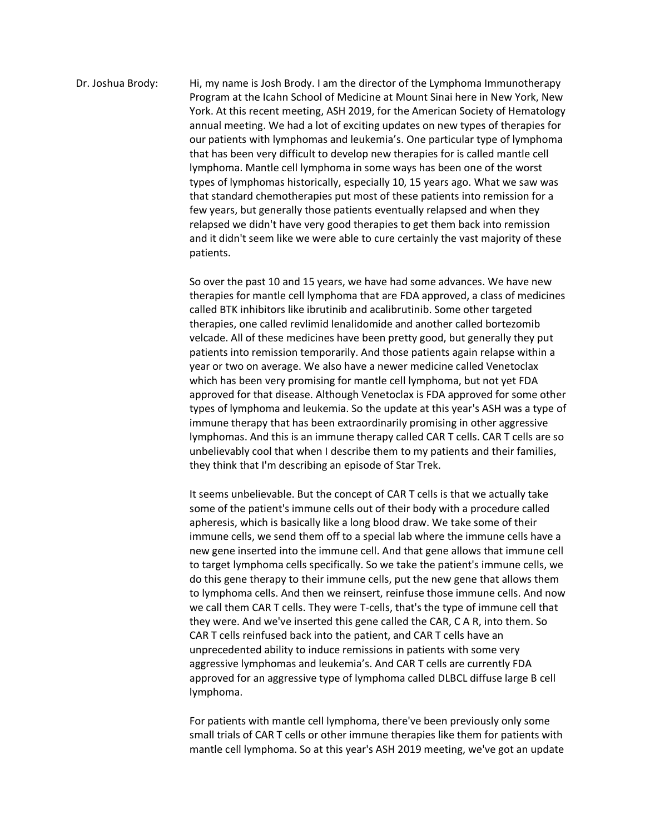Dr. Joshua Brody: Hi, my name is Josh Brody. I am the director of the Lymphoma Immunotherapy Program at the Icahn School of Medicine at Mount Sinai here in New York, New York. At this recent meeting, ASH 2019, for the American Society of Hematology annual meeting. We had a lot of exciting updates on new types of therapies for our patients with lymphomas and leukemia's. One particular type of lymphoma that has been very difficult to develop new therapies for is called mantle cell lymphoma. Mantle cell lymphoma in some ways has been one of the worst types of lymphomas historically, especially 10, 15 years ago. What we saw was that standard chemotherapies put most of these patients into remission for a few years, but generally those patients eventually relapsed and when they relapsed we didn't have very good therapies to get them back into remission and it didn't seem like we were able to cure certainly the vast majority of these patients.

> So over the past 10 and 15 years, we have had some advances. We have new therapies for mantle cell lymphoma that are FDA approved, a class of medicines called BTK inhibitors like ibrutinib and acalibrutinib. Some other targeted therapies, one called revlimid lenalidomide and another called bortezomib velcade. All of these medicines have been pretty good, but generally they put patients into remission temporarily. And those patients again relapse within a year or two on average. We also have a newer medicine called Venetoclax which has been very promising for mantle cell lymphoma, but not yet FDA approved for that disease. Although Venetoclax is FDA approved for some other types of lymphoma and leukemia. So the update at this year's ASH was a type of immune therapy that has been extraordinarily promising in other aggressive lymphomas. And this is an immune therapy called CAR T cells. CAR T cells are so unbelievably cool that when I describe them to my patients and their families, they think that I'm describing an episode of Star Trek.

> It seems unbelievable. But the concept of CAR T cells is that we actually take some of the patient's immune cells out of their body with a procedure called apheresis, which is basically like a long blood draw. We take some of their immune cells, we send them off to a special lab where the immune cells have a new gene inserted into the immune cell. And that gene allows that immune cell to target lymphoma cells specifically. So we take the patient's immune cells, we do this gene therapy to their immune cells, put the new gene that allows them to lymphoma cells. And then we reinsert, reinfuse those immune cells. And now we call them CAR T cells. They were T-cells, that's the type of immune cell that they were. And we've inserted this gene called the CAR, C A R, into them. So CAR T cells reinfused back into the patient, and CAR T cells have an unprecedented ability to induce remissions in patients with some very aggressive lymphomas and leukemia's. And CAR T cells are currently FDA approved for an aggressive type of lymphoma called DLBCL diffuse large B cell lymphoma.

> For patients with mantle cell lymphoma, there've been previously only some small trials of CAR T cells or other immune therapies like them for patients with mantle cell lymphoma. So at this year's ASH 2019 meeting, we've got an update